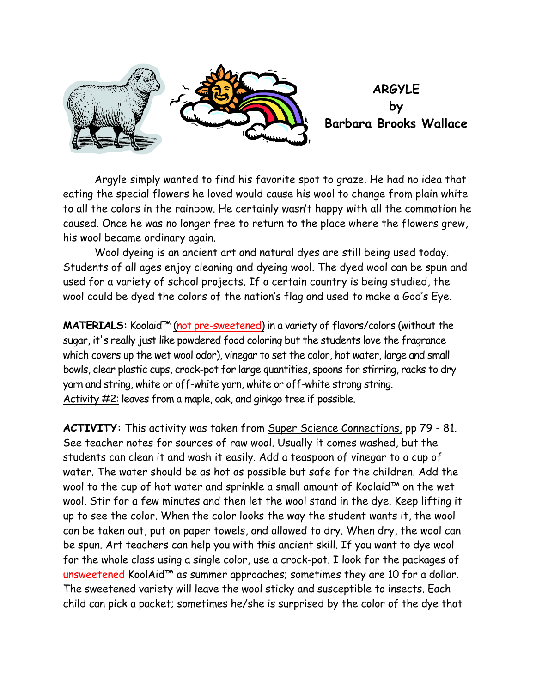

 Argyle simply wanted to find his favorite spot to graze. He had no idea that eating the special flowers he loved would cause his wool to change from plain white to all the colors in the rainbow. He certainly wasn't happy with all the commotion he caused. Once he was no longer free to return to the place where the flowers grew, his wool became ordinary again.

 Wool dyeing is an ancient art and natural dyes are still being used today. Students of all ages enjoy cleaning and dyeing wool. The dyed wool can be spun and used for a variety of school projects. If a certain country is being studied, the wool could be dyed the colors of the nation's flag and used to make a God's Eye.

**MATERIALS:** Koolaid™ (not pre-sweetened) in a variety of flavors/colors (without the sugar, it's really just like powdered food coloring but the students love the fragrance which covers up the wet wool odor), vinegar to set the color, hot water, large and small bowls, clear plastic cups, crock-pot for large quantities, spoons for stirring, racks to dry yarn and string, white or off-white yarn, white or off-white strong string. Activity #2: leaves from a maple, oak, and ginkgo tree if possible.

**ACTIVITY:** This activity was taken from Super Science Connections, pp 79 - 81. See teacher notes for sources of raw wool. Usually it comes washed, but the students can clean it and wash it easily. Add a teaspoon of vinegar to a cup of water. The water should be as hot as possible but safe for the children. Add the wool to the cup of hot water and sprinkle a small amount of Koolaid™ on the wet wool. Stir for a few minutes and then let the wool stand in the dye. Keep lifting it up to see the color. When the color looks the way the student wants it, the wool can be taken out, put on paper towels, and allowed to dry. When dry, the wool can be spun. Art teachers can help you with this ancient skill. If you want to dye wool for the whole class using a single color, use a crock-pot. I look for the packages of unsweetened KoolAid™ as summer approaches; sometimes they are 10 for a dollar. The sweetened variety will leave the wool sticky and susceptible to insects. Each child can pick a packet; sometimes he/she is surprised by the color of the dye that